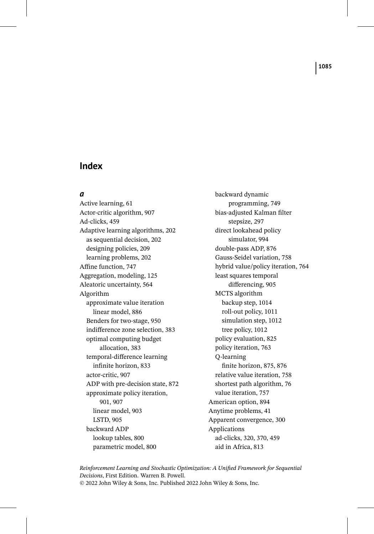#### *a*

Active learning, 61 Actor-critic algorithm, 907 Ad-clicks, 459 Adaptive learning algorithms, 202 as sequential decision, 202 designing policies, 209 learning problems, 202 Affine function, 747 Aggregation, modeling, 125 Aleatoric uncertainty, 564 Algorithm approximate value iteration linear model, 886 Benders for two-stage, 950 indifference zone selection, 383 optimal computing budget allocation, 383 temporal-difference learning infinite horizon, 833 actor-critic, 907 ADP with pre-decision state, 872 approximate policy iteration, 901, 907 linear model, 903 LSTD, 905 backward ADP lookup tables, 800 parametric model, 800

backward dynamic programming, 749 bias-adjusted Kalman filter stepsize, 297 direct lookahead policy simulator, 994 double-pass ADP, 876 Gauss-Seidel variation, 758 hybrid value/policy iteration, 764 least squares temporal differencing, 905 MCTS algorithm backup step, 1014 roll-out policy, 1011 simulation step, 1012 tree policy, 1012 policy evaluation, 825 policy iteration, 763 Q-learning finite horizon, 875, 876 relative value iteration, 758 shortest path algorithm, 76 value iteration, 757 American option, 894 Anytime problems, 41 Apparent convergence, 300 Applications ad-clicks, 320, 370, 459 aid in Africa, 813

*Reinforcement Learning and Stochastic Optimization: A Unified Framework for Sequential Decisions*, First Edition. Warren B. Powell. © 2022 John Wiley & Sons, Inc. Published 2022 John Wiley & Sons, Inc.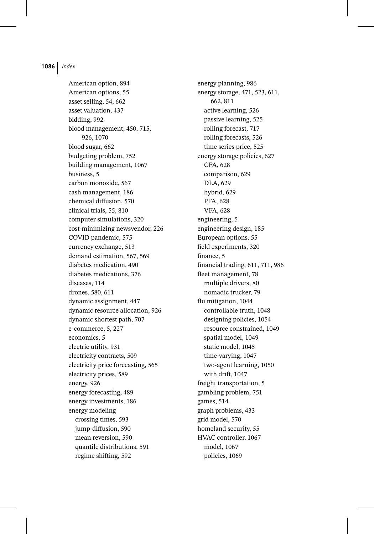American option, 894 American options, 55 asset selling, 54, 662 asset valuation, 437 bidding, 992 blood management, 450, 715, 926, 1070 blood sugar, 662 budgeting problem, 752 building management, 1067 business, 5 carbon monoxide, 567 cash management, 186 chemical diffusion, 570 clinical trials, 55, 810 computer simulations, 320 cost-minimizing newsvendor, 226 COVID pandemic, 575 currency exchange, 513 demand estimation, 567, 569 diabetes medication, 490 diabetes medications, 376 diseases, 114 drones, 580, 611 dynamic assignment, 447 dynamic resource allocation, 926 dynamic shortest path, 707 e-commerce, 5, 227 economics, 5 electric utility, 931 electricity contracts, 509 electricity price forecasting, 565 electricity prices, 589 energy, 926 energy forecasting, 489 energy investments, 186 energy modeling crossing times, 593 jump-diffusion, 590 mean reversion, 590 quantile distributions, 591 regime shifting, 592

energy planning, 986 energy storage, 471, 523, 611, 662, 811 active learning, 526 passive learning, 525 rolling forecast, 717 rolling forecasts, 526 time series price, 525 energy storage policies, 627 CFA, 628 comparison, 629 DLA, 629 hybrid, 629 PFA, 628 VFA, 628 engineering, 5 engineering design, 185 European options, 55 field experiments, 320 finance, 5 financial trading, 611, 711, 986 fleet management, 78 multiple drivers, 80 nomadic trucker, 79 flu mitigation, 1044 controllable truth, 1048 designing policies, 1054 resource constrained, 1049 spatial model, 1049 static model, 1045 time-varying, 1047 two-agent learning, 1050 with drift, 1047 freight transportation, 5 gambling problem, 751 games, 514 graph problems, 433 grid model, 570 homeland security, 55 HVAC controller, 1067 model, 1067 policies, 1069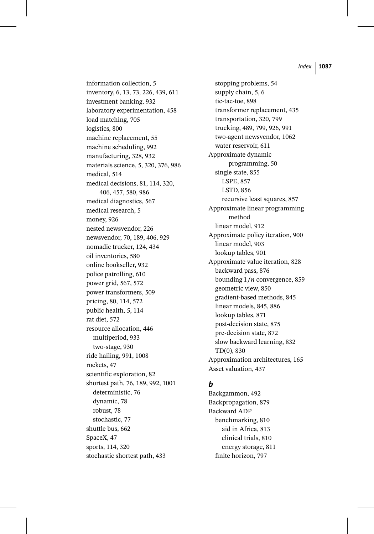information collection, 5 inventory, 6, 13, 73, 226, 439, 611 investment banking, 932 laboratory experimentation, 458 load matching, 705 logistics, 800 machine replacement, 55 machine scheduling, 992 manufacturing, 328, 932 materials science, 5, 320, 376, 986 medical, 514 medical decisions, 81, 114, 320, 406, 457, 580, 986 medical diagnostics, 567 medical research, 5 money, 926 nested newsvendor, 226 newsvendor, 70, 189, 406, 929 nomadic trucker, 124, 434 oil inventories, 580 online bookseller, 932 police patrolling, 610 power grid, 567, 572 power transformers, 509 pricing, 80, 114, 572 public health, 5, 114 rat diet, 572 resource allocation, 446 multiperiod, 933 two-stage, 930 ride hailing, 991, 1008 rockets, 47 scientific exploration, 82 shortest path, 76, 189, 992, 1001 deterministic, 76 dynamic, 78 robust, 78 stochastic, 77 shuttle bus, 662 SpaceX, 47 sports, 114, 320 stochastic shortest path, 433

stopping problems, 54 supply chain, 5, 6 tic-tac-toe, 898 transformer replacement, 435 transportation, 320, 799 trucking, 489, 799, 926, 991 two-agent newsvendor, 1062 water reservoir, 611 Approximate dynamic programming, 50 single state, 855 LSPE, 857 LSTD, 856 recursive least squares, 857 Approximate linear programming method linear model, 912 Approximate policy iteration, 900 linear model, 903 lookup tables, 901 Approximate value iteration, 828 backward pass, 876 bounding  $1/n$  convergence, 859 geometric view, 850 gradient-based methods, 845 linear models, 845, 886 lookup tables, 871 post-decision state, 875 pre-decision state, 872 slow backward learning, 832 TD(0), 830 Approximation architectures, 165 Asset valuation, 437

## *b*

Backgammon, 492 Backpropagation, 879 Backward ADP benchmarking, 810 aid in Africa, 813 clinical trials, 810 energy storage, 811 finite horizon, 797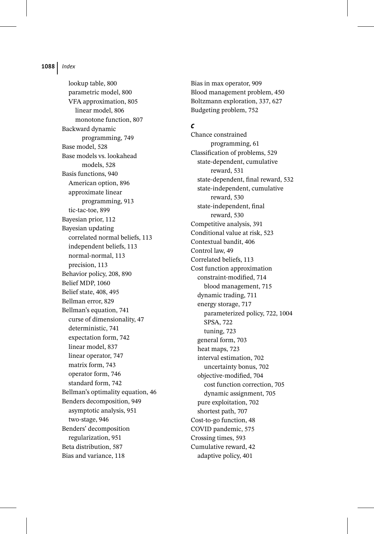lookup table, 800 parametric model, 800 VFA approximation, 805 linear model, 806 monotone function, 807 Backward dynamic programming, 749 Base model, 528 Base models vs. lookahead models, 528 Basis functions, 940 American option, 896 approximate linear programming, 913 tic-tac-toe, 899 Bayesian prior, 112 Bayesian updating correlated normal beliefs, 113 independent beliefs, 113 normal-normal, 113 precision, 113 Behavior policy, 208, 890 Belief MDP, 1060 Belief state, 408, 495 Bellman error, 829 Bellman's equation, 741 curse of dimensionality, 47 deterministic, 741 expectation form, 742 linear model, 837 linear operator, 747 matrix form, 743 operator form, 746 standard form, 742 Bellman's optimality equation, 46 Benders decomposition, 949 asymptotic analysis, 951 two-stage, 946 Benders' decomposition regularization, 951 Beta distribution, 587 Bias and variance, 118

Bias in max operator, 909 Blood management problem, 450 Boltzmann exploration, 337, 627 Budgeting problem, 752

#### *c*

Chance constrained programming, 61 Classification of problems, 529 state-dependent, cumulative reward, 531 state-dependent, final reward, 532 state-independent, cumulative reward, 530 state-independent, final reward, 530 Competitive analysis, 391 Conditional value at risk, 523 Contextual bandit, 406 Control law, 49 Correlated beliefs, 113 Cost function approximation constraint-modified, 714 blood management, 715 dynamic trading, 711 energy storage, 717 parameterized policy, 722, 1004 SPSA, 722 tuning, 723 general form, 703 heat maps, 723 interval estimation, 702 uncertainty bonus, 702 objective-modified, 704 cost function correction, 705 dynamic assignment, 705 pure exploitation, 702 shortest path, 707 Cost-to-go function, 48 COVID pandemic, 575 Crossing times, 593 Cumulative reward, 42 adaptive policy, 401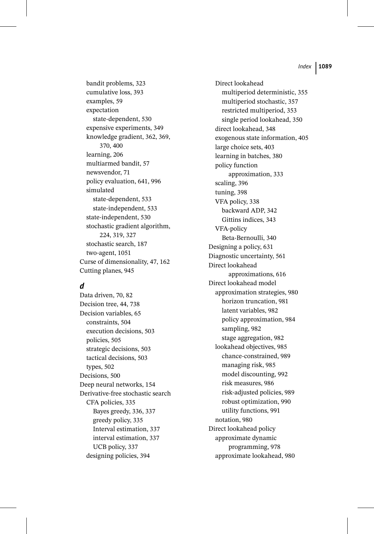bandit problems, 323 cumulative loss, 393 examples, 59 expectation state-dependent, 530 expensive experiments, 349 knowledge gradient, 362, 369, 370, 400 learning, 206 multiarmed bandit, 57 newsvendor, 71 policy evaluation, 641, 996 simulated state-dependent, 533 state-independent, 533 state-independent, 530 stochastic gradient algorithm, 224, 319, 327 stochastic search, 187 two-agent, 1051 Curse of dimensionality, 47, 162 Cutting planes, 945

## *d*

Data driven, 70, 82 Decision tree, 44, 738 Decision variables, 65 constraints, 504 execution decisions, 503 policies, 505 strategic decisions, 503 tactical decisions, 503 types, 502 Decisions, 500 Deep neural networks, 154 Derivative-free stochastic search CFA policies, 335 Bayes greedy, 336, 337 greedy policy, 335 Interval estimation, 337 interval estimation, 337 UCB policy, 337 designing policies, 394

Direct lookahead multiperiod deterministic, 355 multiperiod stochastic, 357 restricted multiperiod, 353 single period lookahead, 350 direct lookahead, 348 exogenous state information, 405 large choice sets, 403 learning in batches, 380 policy function approximation, 333 scaling, 396 tuning, 398 VFA policy, 338 backward ADP, 342 Gittins indices, 343 VFA-policy Beta-Bernoulli, 340 Designing a policy, 631 Diagnostic uncertainty, 561 Direct lookahead approximations, 616 Direct lookahead model approximation strategies, 980 horizon truncation, 981 latent variables, 982 policy approximation, 984 sampling, 982 stage aggregation, 982 lookahead objectives, 985 chance-constrained, 989 managing risk, 985 model discounting, 992 risk measures, 986 risk-adjusted policies, 989 robust optimization, 990 utility functions, 991 notation, 980 Direct lookahead policy approximate dynamic programming, 978 approximate lookahead, 980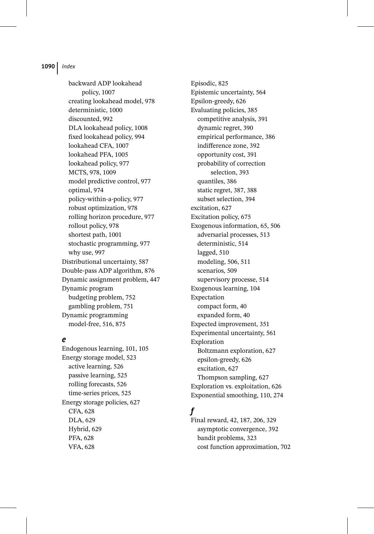backward ADP lookahead policy, 1007 creating lookahead model, 978 deterministic, 1000 discounted, 992 DLA lookahead policy, 1008 fixed lookahead policy, 994 lookahead CFA, 1007 lookahead PFA, 1005 lookahead policy, 977 MCTS, 978, 1009 model predictive control, 977 optimal, 974 policy-within-a-policy, 977 robust optimization, 978 rolling horizon procedure, 977 rollout policy, 978 shortest path, 1001 stochastic programming, 977 why use, 997 Distributional uncertainty, 587 Double-pass ADP algorithm, 876 Dynamic assignment problem, 447 Dynamic program budgeting problem, 752 gambling problem, 751 Dynamic programming model-free, 516, 875

### *e*

Endogenous learning, 101, 105 Energy storage model, 523 active learning, 526 passive learning, 525 rolling forecasts, 526 time-series prices, 525 Energy storage policies, 627 CFA, 628 DLA, 629 Hybrid, 629 PFA, 628 VFA, 628

Episodic, 825 Epistemic uncertainty, 564 Epsilon-greedy, 626 Evaluating policies, 385 competitive analysis, 391 dynamic regret, 390 empirical performance, 386 indifference zone, 392 opportunity cost, 391 probability of correction selection, 393 quantiles, 386 static regret, 387, 388 subset selection, 394 excitation, 627 Excitation policy, 675 Exogenous information, 65, 506 adversarial processes, 513 deterministic, 514 lagged, 510 modeling, 506, 511 scenarios, 509 supervisory processe, 514 Exogenous learning, 104 Expectation compact form, 40 expanded form, 40 Expected improvement, 351 Experimental uncertainty, 561 Exploration Boltzmann exploration, 627 epsilon-greedy, 626 excitation, 627 Thompson sampling, 627 Exploration vs. exploitation, 626 Exponential smoothing, 110, 274

# *f*

Final reward, 42, 187, 206, 329 asymptotic convergence, 392 bandit problems, 323 cost function approximation, 702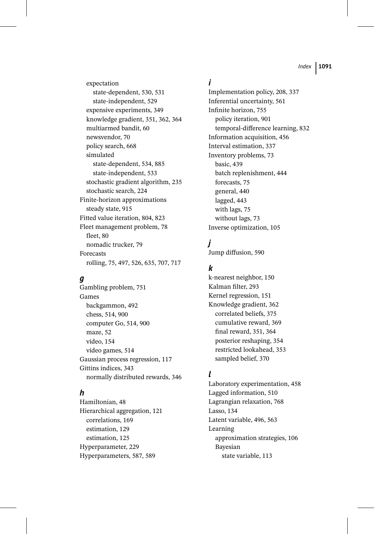expectation state-dependent, 530, 531 state-independent, 529 expensive experiments, 349 knowledge gradient, 351, 362, 364 multiarmed bandit, 60 newsvendor, 70 policy search, 668 simulated state-dependent, 534, 885 state-independent, 533 stochastic gradient algorithm, 235 stochastic search, 224 Finite-horizon approximations steady state, 915 Fitted value iteration, 804, 823 Fleet management problem, 78 fleet, 80 nomadic trucker, 79 Forecasts rolling, 75, 497, 526, 635, 707, 717

# *g*

Gambling problem, 751 Games backgammon, 492 chess, 514, 900 computer Go, 514, 900 maze, 52 video, 154 video games, 514 Gaussian process regression, 117 Gittins indices, 343 normally distributed rewards, 346

## *h*

Hamiltonian, 48 Hierarchical aggregation, 121 correlations, 169 estimation, 129 estimation, 125 Hyperparameter, 229 Hyperparameters, 587, 589

# *i*

Implementation policy, 208, 337 Inferential uncertainty, 561 Infinite horizon, 755 policy iteration, 901 temporal-difference learning, 832 Information acquisition, 456 Interval estimation, 337 Inventory problems, 73 basic, 439 batch replenishment, 444 forecasts, 75 general, 440 lagged, 443 with lags, 75 without lags, 73 Inverse optimization, 105

## *j*

Jump diffusion, 590

## *k*

k-nearest neighbor, 150 Kalman filter, 293 Kernel regression, 151 Knowledge gradient, 362 correlated beliefs, 375 cumulative reward, 369 final reward, 351, 364 posterior reshaping, 354 restricted lookahead, 353 sampled belief, 370

## *l*

Laboratory experimentation, 458 Lagged information, 510 Lagrangian relaxation, 768 Lasso, 134 Latent variable, 496, 563 Learning approximation strategies, 106 Bayesian state variable, 113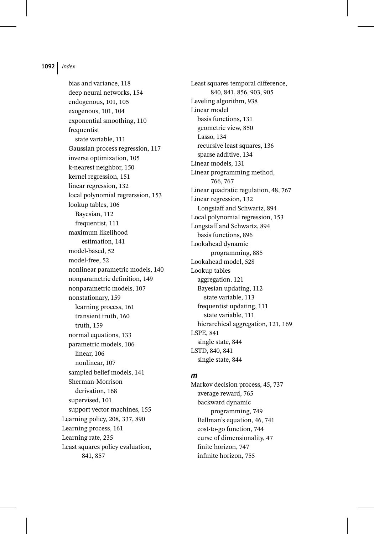bias and variance, 118 deep neural networks, 154 endogenous, 101, 105 exogenous, 101, 104 exponential smoothing, 110 frequentist state variable, 111 Gaussian process regression, 117 inverse optimization, 105 k-nearest neighbor, 150 kernel regression, 151 linear regression, 132 local polynomial regrerssion, 153 lookup tables, 106 Bayesian, 112 frequentist, 111 maximum likelihood estimation, 141 model-based, 52 model-free, 52 nonlinear parametric models, 140 nonparametric definition, 149 nonparametric models, 107 nonstationary, 159 learning process, 161 transient truth, 160 truth, 159 normal equations, 133 parametric models, 106 linear, 106 nonlinear, 107 sampled belief models, 141 Sherman-Morrison derivation, 168 supervised, 101 support vector machines, 155 Learning policy, 208, 337, 890 Learning process, 161 Learning rate, 235 Least squares policy evaluation, 841, 857

Least squares temporal difference, 840, 841, 856, 903, 905 Leveling algorithm, 938 Linear model basis functions, 131 geometric view, 850 Lasso, 134 recursive least squares, 136 sparse additive, 134 Linear models, 131 Linear programming method, 766, 767 Linear quadratic regulation, 48, 767 Linear regression, 132 Longstaff and Schwartz, 894 Local polynomial regression, 153 Longstaff and Schwartz, 894 basis functions, 896 Lookahead dynamic programming, 885 Lookahead model, 528 Lookup tables aggregation, 121 Bayesian updating, 112 state variable, 113 frequentist updating, 111 state variable, 111 hierarchical aggregation, 121, 169 LSPE, 841 single state, 844 LSTD, 840, 841 single state, 844

#### *m*

Markov decision process, 45, 737 average reward, 765 backward dynamic programming, 749 Bellman's equation, 46, 741 cost-to-go function, 744 curse of dimensionality, 47 finite horizon, 747 infinite horizon, 755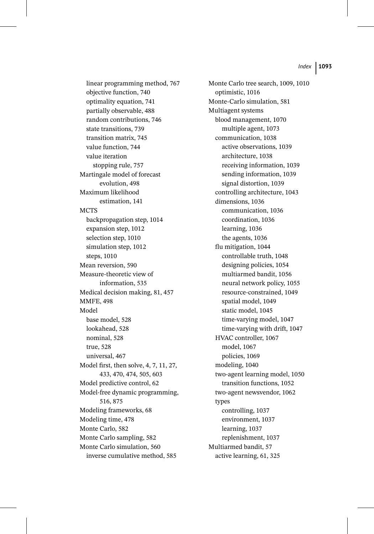linear programming method, 767 objective function, 740 optimality equation, 741 partially observable, 488 random contributions, 746 state transitions, 739 transition matrix, 745 value function, 744 value iteration stopping rule, 757 Martingale model of forecast evolution, 498 Maximum likelihood estimation, 141 **MCTS** backpropagation step, 1014 expansion step, 1012 selection step, 1010 simulation step, 1012 steps, 1010 Mean reversion, 590 Measure-theoretic view of information, 535 Medical decision making, 81, 457 MMFE, 498 Model base model, 528 lookahead, 528 nominal, 528 true, 528 universal, 467 Model first, then solve, 4, 7, 11, 27, 433, 470, 474, 505, 603 Model predictive control, 62 Model-free dynamic programming, 516, 875 Modeling frameworks, 68 Modeling time, 478 Monte Carlo, 582 Monte Carlo sampling, 582 Monte Carlo simulation, 560 inverse cumulative method, 585

Monte Carlo tree search, 1009, 1010 optimistic, 1016 Monte-Carlo simulation, 581 Multiagent systems blood management, 1070 multiple agent, 1073 communication, 1038 active observations, 1039 architecture, 1038 receiving information, 1039 sending information, 1039 signal distortion, 1039 controlling architecture, 1043 dimensions, 1036 communication, 1036 coordination, 1036 learning, 1036 the agents, 1036 flu mitigation, 1044 controllable truth, 1048 designing policies, 1054 multiarmed bandit, 1056 neural network policy, 1055 resource-constrained, 1049 spatial model, 1049 static model, 1045 time-varying model, 1047 time-varying with drift, 1047 HVAC controller, 1067 model, 1067 policies, 1069 modeling, 1040 two-agent learning model, 1050 transition functions, 1052 two-agent newsvendor, 1062 types controlling, 1037 environment, 1037 learning, 1037 replenishment, 1037 Multiarmed bandit, 57 active learning, 61, 325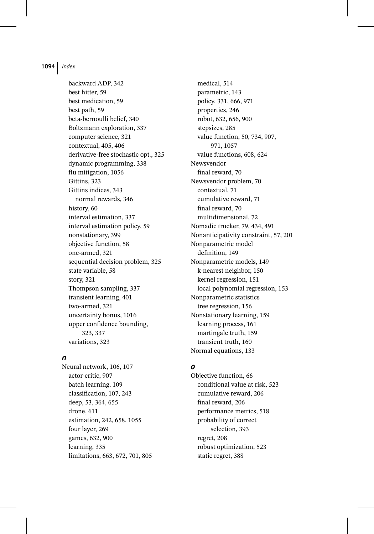backward ADP, 342 best hitter, 59 best medication, 59 best path, 59 beta-bernoulli belief, 340 Boltzmann exploration, 337 computer science, 321 contextual, 405, 406 derivative-free stochastic opt., 325 dynamic programming, 338 flu mitigation, 1056 Gittins, 323 Gittins indices, 343 normal rewards, 346 history, 60 interval estimation, 337 interval estimation policy, 59 nonstationary, 399 objective function, 58 one-armed, 321 sequential decision problem, 325 state variable, 58 story, 321 Thompson sampling, 337 transient learning, 401 two-armed, 321 uncertainty bonus, 1016 upper confidence bounding, 323, 337 variations, 323

#### *n*

Neural network, 106, 107 actor-critic, 907 batch learning, 109 classification, 107, 243 deep, 53, 364, 655 drone, 611 estimation, 242, 658, 1055 four layer, 269 games, 632, 900 learning, 335 limitations, 663, 672, 701, 805

medical, 514 parametric, 143 policy, 331, 666, 971 properties, 246 robot, 632, 656, 900 stepsizes, 285 value function, 50, 734, 907, 971, 1057 value functions, 608, 624 Newsvendor final reward, 70 Newsvendor problem, 70 contextual, 71 cumulative reward, 71 final reward, 70 multidimensional, 72 Nomadic trucker, 79, 434, 491 Nonanticipativity constraint, 57, 201 Nonparametric model definition, 149 Nonparametric models, 149 k-nearest neighbor, 150 kernel regression, 151 local polynomial regression, 153 Nonparametric statistics tree regression, 156 Nonstationary learning, 159 learning process, 161 martingale truth, 159 transient truth, 160 Normal equations, 133

## *o*

Objective function, 66 conditional value at risk, 523 cumulative reward, 206 final reward, 206 performance metrics, 518 probability of correct selection, 393 regret, 208 robust optimization, 523 static regret, 388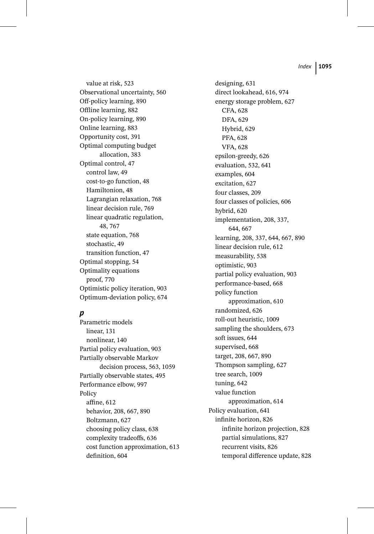value at risk, 523 Observational uncertainty, 560 Off-policy learning, 890 Offline learning, 882 On-policy learning, 890 Online learning, 883 Opportunity cost, 391 Optimal computing budget allocation, 383 Optimal control, 47 control law, 49 cost-to-go function, 48 Hamiltonion, 48 Lagrangian relaxation, 768 linear decision rule, 769 linear quadratic regulation, 48, 767 state equation, 768 stochastic, 49 transition function, 47 Optimal stopping, 54 Optimality equations proof, 770 Optimistic policy iteration, 903 Optimum-deviation policy, 674

# *p*

Parametric models linear, 131 nonlinear, 140 Partial policy evaluation, 903 Partially observable Markov decision process, 563, 1059 Partially observable states, 495 Performance elbow, 997 Policy affine, 612 behavior, 208, 667, 890 Boltzmann, 627 choosing policy class, 638 complexity tradeoffs, 636 cost function approximation, 613 definition, 604

designing, 631 direct lookahead, 616, 974 energy storage problem, 627 CFA, 628 DFA, 629 Hybrid, 629 PFA, 628 VFA, 628 epsilon-greedy, 626 evaluation, 532, 641 examples, 604 excitation, 627 four classes, 209 four classes of policies, 606 hybrid, 620 implementation, 208, 337, 644, 667 learning, 208, 337, 644, 667, 890 linear decision rule, 612 measurability, 538 optimistic, 903 partial policy evaluation, 903 performance-based, 668 policy function approximation, 610 randomized, 626 roll-out heuristic, 1009 sampling the shoulders, 673 soft issues, 644 supervised, 668 target, 208, 667, 890 Thompson sampling, 627 tree search, 1009 tuning, 642 value function approximation, 614 Policy evaluation, 641 infinite horizon, 826 infinite horizon projection, 828 partial simulations, 827 recurrent visits, 826 temporal difference update, 828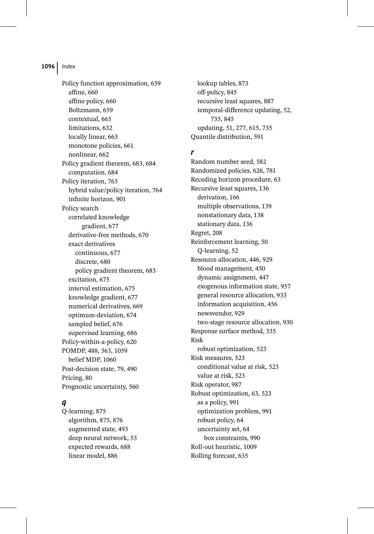Policy function approximation, 659 affine, 660 affine policy, 660 Boltzmann, 659 contextual, 665 limitations, 632 locally linear, 663 monotone policies, 661 nonlinear, 662 Policy gradient theorem, 683, 684 computation, 684 Policy iteration, 763 hybrid value/policy iteration, 764 infinite horizon, 901 Policy search correlated knowledge gradient, 677 derivative-free methods, 670 exact derivatives continuous, 677 discrete, 680 policy gradient theorem, 683 excitation, 675 interval estimation, 675 knowledge gradient, 677 numerical derivatives, 669 optimum-deviation, 674 sampled belief, 676 supervised learning, 686 Policy-within-a-policy, 620 POMDP, 488, 563, 1059 belief MDP, 1060 Post-decision state, 79, 490 Pricing, 80 Prognostic uncertainty, 560

### *q*

Q-learning, 875 algorithm, 875, 876 augmented state, 493 deep neural network, 53 expected rewards, 688 linear model, 886

lookup tables, 873 off-policy, 845 recursive least squares, 887 temporal-difference updating, 52, 735, 845 updating, 51, 277, 615, 735 Quantile distribution, 591

### *r*

Random number seed, 582 Randomized policies, 626, 781 Receding horizon procedure, 63 Recursive least squares, 136 derivation, 166 multiple observations, 139 nonstationary data, 138 stationary data, 136 Regret, 208 Reinforcement learning, 50 Q-learning, 52 Resource allocation, 446, 929 blood management, 450 dynamic assignment, 447 exogenous information state, 957 general resource allocation, 933 information acquisition, 456 newsvendor, 929 two-stage resource allocation, 930 Response surface method, 335 Risk robust optimization, 523 Risk measures, 523 conditional value at risk, 523 value at risk, 523 Risk operator, 987 Robust optimization, 63, 523 as a policy, 991 optimization problem, 991 robust policy, 64 uncertainty set, 64 box constraints, 990 Roll-out heuristic, 1009 Rolling forecast, 635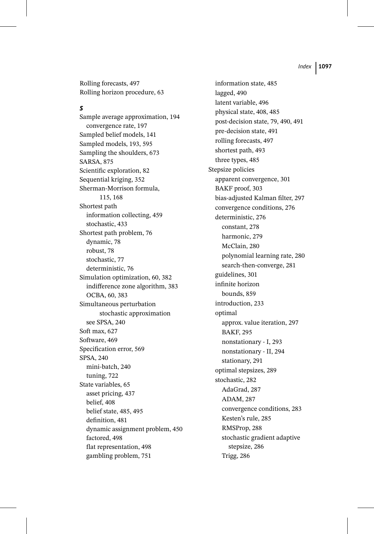Rolling forecasts, 497 Rolling horizon procedure, 63

#### *s*

Sample average approximation, 194 convergence rate, 197 Sampled belief models, 141 Sampled models, 193, 595 Sampling the shoulders, 673 SARSA, 875 Scientific exploration, 82 Sequential kriging, 352 Sherman-Morrison formula, 115, 168 Shortest path information collecting, 459 stochastic, 433 Shortest path problem, 76 dynamic, 78 robust, 78 stochastic, 77 deterministic, 76 Simulation optimization, 60, 382 indifference zone algorithm, 383 OCBA, 60, 383 Simultaneous perturbation stochastic approximation see SPSA, 240 Soft max, 627 Software, 469 Specification error, 569 SPSA, 240 mini-batch, 240 tuning, 722 State variables, 65 asset pricing, 437 belief, 408 belief state, 485, 495 definition, 481 dynamic assignment problem, 450 factored, 498 flat representation, 498 gambling problem, 751

information state, 485 lagged, 490 latent variable, 496 physical state, 408, 485 post-decision state, 79, 490, 491 pre-decision state, 491 rolling forecasts, 497 shortest path, 493 three types, 485 Stepsize policies apparent convergence, 301 BAKF proof, 303 bias-adjusted Kalman filter, 297 convergence conditions, 276 deterministic, 276 constant, 278 harmonic, 279 McClain, 280 polynomial learning rate, 280 search-then-converge, 281 guidelines, 301 infinite horizon bounds, 859 introduction, 233 optimal approx. value iteration, 297 BAKF, 295 nonstationary - I, 293 nonstationary - II, 294 stationary, 291 optimal stepsizes, 289 stochastic, 282 AdaGrad, 287 ADAM, 287 convergence conditions, 283 Kesten's rule, 285 RMSProp, 288 stochastic gradient adaptive stepsize, 286 Trigg, 286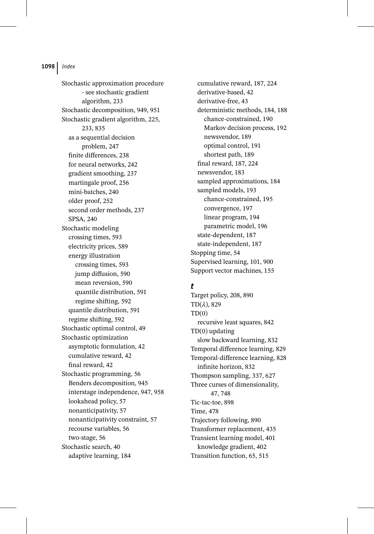Stochastic approximation procedure - see stochastic gradient algorithm, 233 Stochastic decomposition, 949, 951 Stochastic gradient algorithm, 225, 233, 835 as a sequential decision problem, 247 finite differences, 238 for neural networks, 242 gradient smoothing, 237 martingale proof, 256 mini-batches, 240 older proof, 252 second order methods, 237 SPSA, 240 Stochastic modeling crossing times, 593 electricity prices, 589 energy illustration crossing times, 593 jump diffusion, 590 mean reversion, 590 quantile distribution, 591 regime shifting, 592 quantile distribution, 591 regime shifting, 592 Stochastic optimal control, 49 Stochastic optimization asymptotic formulation, 42 cumulative reward, 42 final reward, 42 Stochastic programming, 56 Benders decomposition, 945 interstage independence, 947, 958 lookahead policy, 57 nonanticipativity, 57 nonanticipativity constraint, 57 recourse variables, 56 two-stage, 56 Stochastic search, 40 adaptive learning, 184

cumulative reward, 187, 224 derivative-based, 42 derivative-free, 43 deterministic methods, 184, 188 chance-constrained, 190 Markov decision process, 192 newsvendor, 189 optimal control, 191 shortest path, 189 final reward, 187, 224 newsvendor, 183 sampled approximations, 184 sampled models, 193 chance-constrained, 195 convergence, 197 linear program, 194 parametric model, 196 state-dependent, 187 state-independent, 187 Stopping time, 54 Supervised learning, 101, 900 Support vector machines, 155

### *t*

Target policy, 208, 890  $TD(\lambda)$ , 829  $TD(0)$ recursive least squares, 842 TD(0) updating slow backward learning, 832 Temporal difference learning, 829 Temporal-difference learning, 828 infinite horizon, 832 Thompson sampling, 337, 627 Three curses of dimensionality, 47, 748 Tic-tac-toe, 898 Time, 478 Trajectory following, 890 Transformer replacement, 435 Transient learning model, 401 knowledge gradient, 402 Transition function, 65, 515